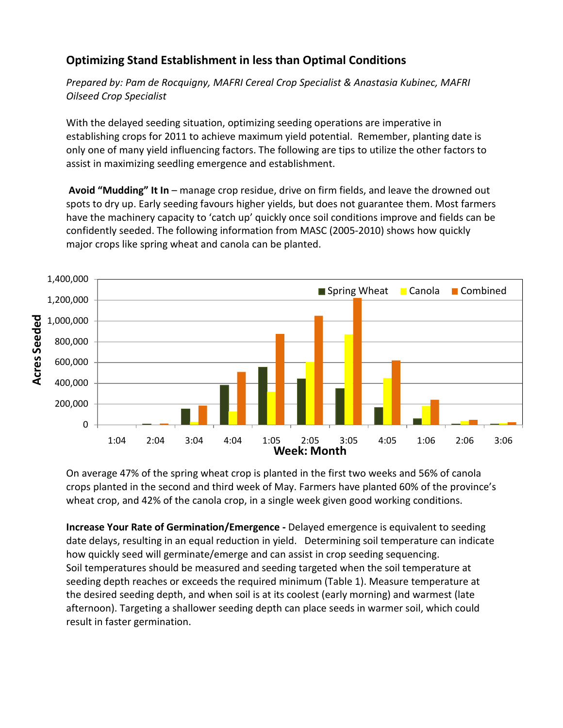## **Optimizing Stand Establishment in less than Optimal Conditions**

*Prepared by: Pam [de Rocquigny,](http://web2.gov.mb.ca/contact/viewPerson.php?lang=EN&pid=7551&wid=1430&bid=297&wlid=4964) MAFRI Cereal Crop Specialist & Anastasia Kubinec, MAFRI Oilseed Crop Specialist* 

With the delayed seeding situation, optimizing seeding operations are imperative in establishing crops for 2011 to achieve maximum yield potential. Remember, planting date is only one of many yield influencing factors. The following are tips to utilize the other factors to assist in maximizing seedling emergence and establishment.

**Avoid "Mudding" It In** – manage crop residue, drive on firm fields, and leave the drowned out spots to dry up. Early seeding favours higher yields, but does not guarantee them. Most farmers have the machinery capacity to 'catch up' quickly once soil conditions improve and fields can be confidently seeded. The following information from MASC (2005-2010) shows how quickly major crops like spring wheat and canola can be planted.



On average 47% of the spring wheat crop is planted in the first two weeks and 56% of canola crops planted in the second and third week of May. Farmers have planted 60% of the province's wheat crop, and 42% of the canola crop, in a single week given good working conditions.

**Increase Your Rate of Germination/Emergence -** Delayed emergence is equivalent to seeding date delays, resulting in an equal reduction in yield. Determining soil temperature can indicate how quickly seed will germinate/emerge and can assist in crop seeding sequencing. Soil temperatures should be measured and seeding targeted when the soil temperature at seeding depth reaches or exceeds the required minimum (Table 1). Measure temperature at the desired seeding depth, and when soil is at its coolest (early morning) and warmest (late afternoon). Targeting a shallower seeding depth can place seeds in warmer soil, which could result in faster germination.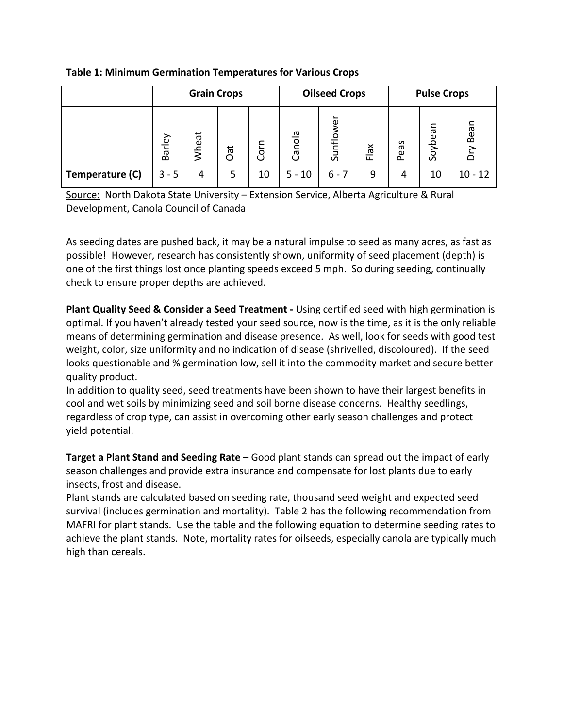**Table 1: Minimum Germination Temperatures for Various Crops**

|                 | <b>Grain Crops</b> |              |                |        | <b>Oilseed Crops</b> |                     |                     | <b>Pulse Crops</b> |             |           |  |
|-----------------|--------------------|--------------|----------------|--------|----------------------|---------------------|---------------------|--------------------|-------------|-----------|--|
|                 | Barley             | <b>Mheat</b> | $\vec{a}$<br>റ | ت<br>S | ᡕᠣ<br>Canol          | ω<br>e⊧<br>$\Omega$ | $\frac{8}{10}$<br>ட | eas<br>$\Omega$    | leəq<br>င္တ | Bear<br>⌒ |  |
| Temperature (C) | $3 - 5$            | 4            | 5              | 10     | $5 - 10$             | $6 - 7$             | 9                   | 4                  | 10          | $10 - 12$ |  |

Source: North Dakota State University - Extension Service, Alberta Agriculture & Rural Development, Canola Council of Canada

As seeding dates are pushed back, it may be a natural impulse to seed as many acres, as fast as possible! However, research has consistently shown, uniformity of seed placement (depth) is one of the first things lost once planting speeds exceed 5 mph. So during seeding, continually check to ensure proper depths are achieved.

**Plant Quality Seed & Consider a Seed Treatment -** Using certified seed with high germination is optimal. If you haven't already tested your seed source, now is the time, as it is the only reliable means of determining germination and disease presence. As well, look for seeds with good test weight, color, size uniformity and no indication of disease (shrivelled, discoloured). If the seed looks questionable and % germination low, sell it into the commodity market and secure better quality product.

In addition to quality seed, seed treatments have been shown to have their largest benefits in cool and wet soils by minimizing seed and soil borne disease concerns. Healthy seedlings, regardless of crop type, can assist in overcoming other early season challenges and protect yield potential.

**Target a Plant Stand and Seeding Rate –** Good plant stands can spread out the impact of early season challenges and provide extra insurance and compensate for lost plants due to early insects, frost and disease.

Plant stands are calculated based on seeding rate, thousand seed weight and expected seed survival (includes germination and mortality). Table 2 has the following recommendation from MAFRI for plant stands. Use the table and the following equation to determine seeding rates to achieve the plant stands. Note, mortality rates for oilseeds, especially canola are typically much high than cereals.